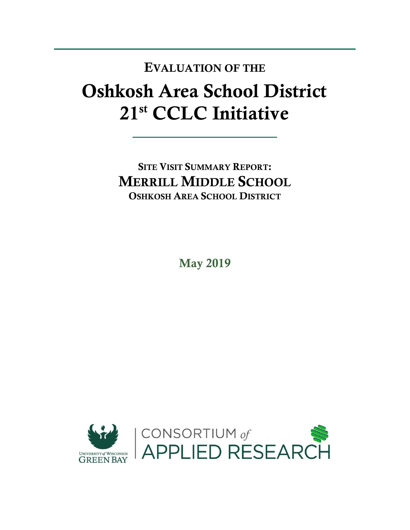## Oshkosh Area School District 21st CCLC Initiative EVALUATION OF THE

SITE VISIT SUMMARY REPORT: MERRILL MIDDLE SCHOOL OSHKOSH AREA SCHOOL DISTRICT

May 2019

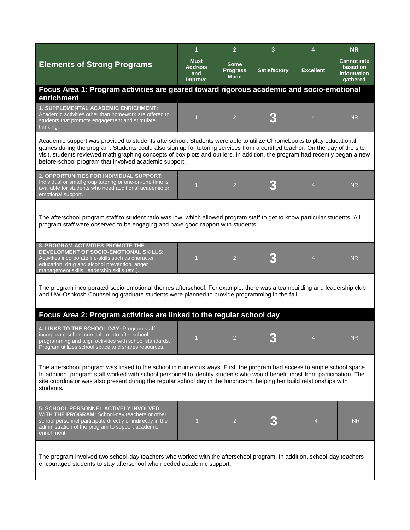|                                                                                                                                                                                                                                                                                                                                                                                                                                               | 1                                        | $\overline{2}$                         | 3                   | 4                | <b>NR</b>                                                 |  |  |  |
|-----------------------------------------------------------------------------------------------------------------------------------------------------------------------------------------------------------------------------------------------------------------------------------------------------------------------------------------------------------------------------------------------------------------------------------------------|------------------------------------------|----------------------------------------|---------------------|------------------|-----------------------------------------------------------|--|--|--|
| <b>Elements of Strong Programs</b>                                                                                                                                                                                                                                                                                                                                                                                                            | <b>Must</b><br>Address<br>and<br>Improve | Some<br><b>Progress</b><br><b>Made</b> | <b>Satisfactory</b> | <b>Excellent</b> | <b>Cannot rate</b><br>based on<br>information<br>gathered |  |  |  |
| Focus Area 1: Program activities are geared toward rigorous academic and socio-emotional<br>enrichment                                                                                                                                                                                                                                                                                                                                        |                                          |                                        |                     |                  |                                                           |  |  |  |
| <b>1. SUPPLEMENTAL ACADEMIC ENRICHMENT:</b><br>Academic activities other than homework are offered to<br>students that promote engagement and stimulate<br>thinking.                                                                                                                                                                                                                                                                          | $\overline{1}$                           | $\overline{2}$                         |                     | $\overline{4}$   | <b>NR</b>                                                 |  |  |  |
| Academic support was provided to students afterschool. Students were able to utilize Chromebooks to play educational<br>games during the program. Students could also sign up for tutoring services from a certified teacher. On the day of the site<br>visit, students reviewed math graphing concepts of box plots and outliers. In addition, the program had recently began a new<br>before-school program that involved academic support. |                                          |                                        |                     |                  |                                                           |  |  |  |
| 2. OPPORTUNITIES FOR INDIVIDUAL SUPPORT:<br>Individual or small group tutoring or one-on-one time is<br>available for students who need additional academic or<br>emotional support.                                                                                                                                                                                                                                                          | $\overline{1}$                           | $\overline{2}$                         |                     | $\overline{4}$   | <b>NR</b>                                                 |  |  |  |
| The afterschool program staff to student ratio was low, which allowed program staff to get to know particular students. All<br>program staff were observed to be engaging and have good rapport with students.                                                                                                                                                                                                                                |                                          |                                        |                     |                  |                                                           |  |  |  |
| <b>3. PROGRAM ACTIVITIES PROMOTE THE</b><br>DEVELOPMENT OF SOCIO-EMOTIONAL SKILLS:<br>Activities incorporate life-skills such as character<br>education, drug and alcohol prevention, anger<br>management skills, leadership skills (etc.).                                                                                                                                                                                                   | $\overline{1}$                           | $\overline{2}$                         | B                   | $\overline{4}$   | <b>NR</b>                                                 |  |  |  |
| The program incorporated socio-emotional themes afterschool. For example, there was a teambuilding and leadership club<br>and UW-Oshkosh Counseling graduate students were planned to provide programming in the fall.                                                                                                                                                                                                                        |                                          |                                        |                     |                  |                                                           |  |  |  |
| Focus Area 2: Program activities are linked to the regular school day                                                                                                                                                                                                                                                                                                                                                                         |                                          |                                        |                     |                  |                                                           |  |  |  |
| 4. LINKS TO THE SCHOOL DAY: Program staff<br>incorporate school curriculum into after school<br>programming and align activities with school standards.<br>Program utilizes school space and shares resources.                                                                                                                                                                                                                                | $\mathbf{1}$                             | $\overline{2}$                         |                     | 4                | <b>NR</b>                                                 |  |  |  |
| The afterschool program was linked to the school in numerous ways. First, the program had access to ample school space.<br>In addition, program staff worked with school personnel to identify students who would benefit most from participation. The<br>site coordinator was also present during the regular school day in the lunchroom, helping her build relationships with<br>students.                                                 |                                          |                                        |                     |                  |                                                           |  |  |  |
| <b>5. SCHOOL PERSONNEL ACTIVELY INVOLVED</b><br>WITH THE PROGRAM: School-day teachers or other<br>school personnel participate directly or indirectly in the<br>administration of the program to support academic<br>enrichment.                                                                                                                                                                                                              | $\mathbf{1}$                             | $\overline{2}$                         |                     | 4                | NR.                                                       |  |  |  |
| The program involved two school-day teachers who worked with the afterschool program. In addition, school-day teachers<br>encouraged students to stay afterschool who needed academic support.                                                                                                                                                                                                                                                |                                          |                                        |                     |                  |                                                           |  |  |  |